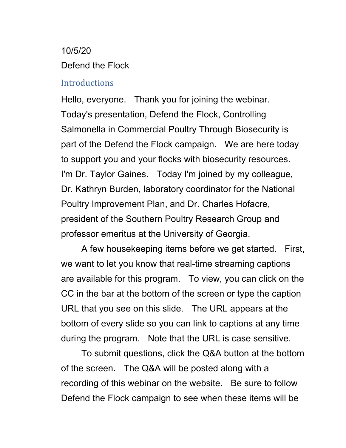# 10/5/20 Defend the Flock

## **Introductions**

Hello, everyone. Thank you for joining the webinar. Today's presentation, Defend the Flock, Controlling Salmonella in Commercial Poultry Through Biosecurity is part of the Defend the Flock campaign. We are here today to support you and your flocks with biosecurity resources. I'm Dr. Taylor Gaines. Today I'm joined by my colleague, Dr. Kathryn Burden, laboratory coordinator for the National Poultry Improvement Plan, and Dr. Charles Hofacre, president of the Southern Poultry Research Group and professor emeritus at the University of Georgia.

A few housekeeping items before we get started. First, we want to let you know that real-time streaming captions are available for this program. To view, you can click on the CC in the bar at the bottom of the screen or type the caption URL that you see on this slide. The URL appears at the bottom of every slide so you can link to captions at any time during the program. Note that the URL is case sensitive.

To submit questions, click the Q&A button at the bottom of the screen. The Q&A will be posted along with a recording of this webinar on the website. Be sure to follow Defend the Flock campaign to see when these items will be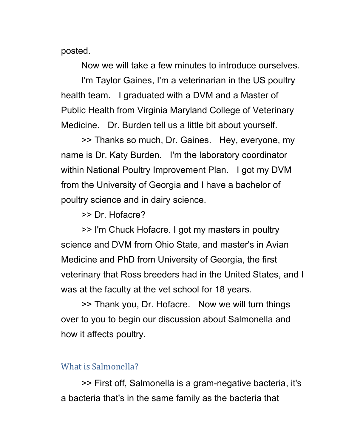posted.

Now we will take a few minutes to introduce ourselves.

I'm Taylor Gaines, I'm a veterinarian in the US poultry health team. I graduated with a DVM and a Master of Public Health from Virginia Maryland College of Veterinary Medicine. Dr. Burden tell us a little bit about yourself.

>> Thanks so much, Dr. Gaines. Hey, everyone, my name is Dr. Katy Burden. I'm the laboratory coordinator within National Poultry Improvement Plan. I got my DVM from the University of Georgia and I have a bachelor of poultry science and in dairy science.

>> Dr. Hofacre?

>> I'm Chuck Hofacre. I got my masters in poultry science and DVM from Ohio State, and master's in Avian Medicine and PhD from University of Georgia, the first veterinary that Ross breeders had in the United States, and I was at the faculty at the vet school for 18 years.

>> Thank you, Dr. Hofacre. Now we will turn things over to you to begin our discussion about Salmonella and how it affects poultry.

## What is Salmonella?

>> First off, Salmonella is a gram-negative bacteria, it's a bacteria that's in the same family as the bacteria that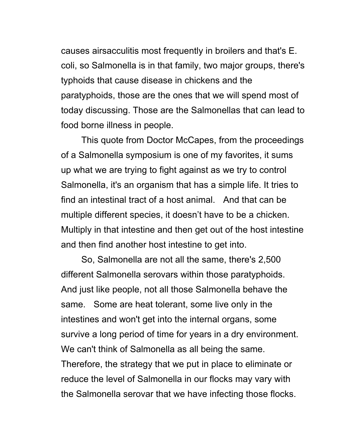causes airsacculitis most frequently in broilers and that's E. coli, so Salmonella is in that family, two major groups, there's typhoids that cause disease in chickens and the paratyphoids, those are the ones that we will spend most of today discussing. Those are the Salmonellas that can lead to food borne illness in people.

This quote from Doctor McCapes, from the proceedings of a Salmonella symposium is one of my favorites, it sums up what we are trying to fight against as we try to control Salmonella, it's an organism that has a simple life. It tries to find an intestinal tract of a host animal. And that can be multiple different species, it doesn't have to be a chicken. Multiply in that intestine and then get out of the host intestine and then find another host intestine to get into.

So, Salmonella are not all the same, there's 2,500 different Salmonella serovars within those paratyphoids. And just like people, not all those Salmonella behave the same. Some are heat tolerant, some live only in the intestines and won't get into the internal organs, some survive a long period of time for years in a dry environment. We can't think of Salmonella as all being the same. Therefore, the strategy that we put in place to eliminate or reduce the level of Salmonella in our flocks may vary with the Salmonella serovar that we have infecting those flocks.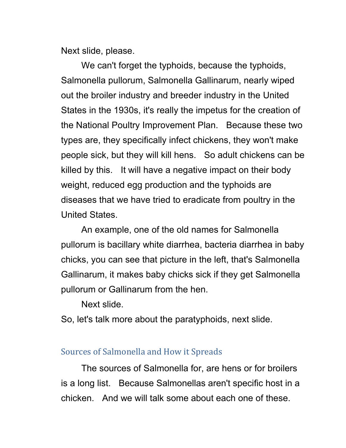Next slide, please.

We can't forget the typhoids, because the typhoids, Salmonella pullorum, Salmonella Gallinarum, nearly wiped out the broiler industry and breeder industry in the United States in the 1930s, it's really the impetus for the creation of the National Poultry Improvement Plan. Because these two types are, they specifically infect chickens, they won't make people sick, but they will kill hens. So adult chickens can be killed by this. It will have a negative impact on their body weight, reduced egg production and the typhoids are diseases that we have tried to eradicate from poultry in the United States.

An example, one of the old names for Salmonella pullorum is bacillary white diarrhea, bacteria diarrhea in baby chicks, you can see that picture in the left, that's Salmonella Gallinarum, it makes baby chicks sick if they get Salmonella pullorum or Gallinarum from the hen.

Next slide.

So, let's talk more about the paratyphoids, next slide.

#### Sources of Salmonella and How it Spreads

The sources of Salmonella for, are hens or for broilers is a long list. Because Salmonellas aren't specific host in a chicken. And we will talk some about each one of these.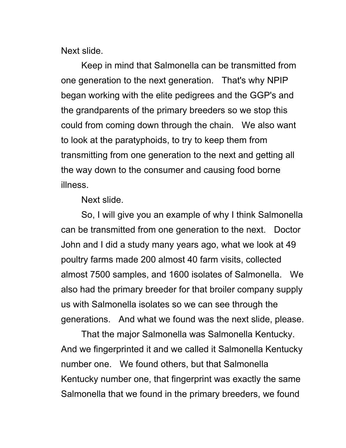Next slide.

Keep in mind that Salmonella can be transmitted from one generation to the next generation. That's why NPIP began working with the elite pedigrees and the GGP's and the grandparents of the primary breeders so we stop this could from coming down through the chain. We also want to look at the paratyphoids, to try to keep them from transmitting from one generation to the next and getting all the way down to the consumer and causing food borne illness.

Next slide.

So, I will give you an example of why I think Salmonella can be transmitted from one generation to the next. Doctor John and I did a study many years ago, what we look at 49 poultry farms made 200 almost 40 farm visits, collected almost 7500 samples, and 1600 isolates of Salmonella. We also had the primary breeder for that broiler company supply us with Salmonella isolates so we can see through the generations. And what we found was the next slide, please.

That the major Salmonella was Salmonella Kentucky. And we fingerprinted it and we called it Salmonella Kentucky number one. We found others, but that Salmonella Kentucky number one, that fingerprint was exactly the same Salmonella that we found in the primary breeders, we found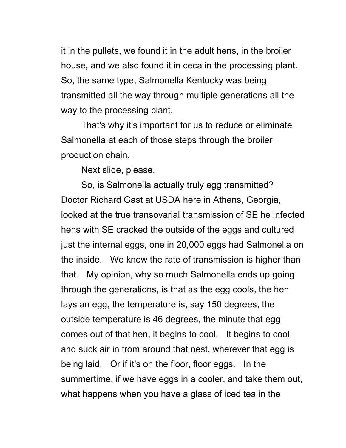it in the pullets, we found it in the adult hens, in the broiler house, and we also found it in ceca in the processing plant. So, the same type, Salmonella Kentucky was being transmitted all the way through multiple generations all the way to the processing plant.

That's why it's important for us to reduce or eliminate Salmonella at each of those steps through the broiler production chain.

Next slide, please.

So, is Salmonella actually truly egg transmitted? Doctor Richard Gast at USDA here in Athens, Georgia, looked at the true transovarial transmission of SE he infected hens with SE cracked the outside of the eggs and cultured just the internal eggs, one in 20,000 eggs had Salmonella on the inside. We know the rate of transmission is higher than that. My opinion, why so much Salmonella ends up going through the generations, is that as the egg cools, the hen lays an egg, the temperature is, say 150 degrees, the outside temperature is 46 degrees, the minute that egg comes out of that hen, it begins to cool. It begins to cool and suck air in from around that nest, wherever that egg is being laid. Or if it's on the floor, floor eggs. In the summertime, if we have eggs in a cooler, and take them out, what happens when you have a glass of iced tea in the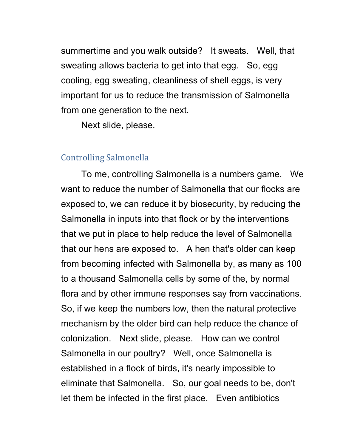summertime and you walk outside? It sweats. Well, that sweating allows bacteria to get into that egg. So, egg cooling, egg sweating, cleanliness of shell eggs, is very important for us to reduce the transmission of Salmonella from one generation to the next.

Next slide, please.

## Controlling Salmonella

To me, controlling Salmonella is a numbers game. We want to reduce the number of Salmonella that our flocks are exposed to, we can reduce it by biosecurity, by reducing the Salmonella in inputs into that flock or by the interventions that we put in place to help reduce the level of Salmonella that our hens are exposed to. A hen that's older can keep from becoming infected with Salmonella by, as many as 100 to a thousand Salmonella cells by some of the, by normal flora and by other immune responses say from vaccinations. So, if we keep the numbers low, then the natural protective mechanism by the older bird can help reduce the chance of colonization. Next slide, please. How can we control Salmonella in our poultry? Well, once Salmonella is established in a flock of birds, it's nearly impossible to eliminate that Salmonella. So, our goal needs to be, don't let them be infected in the first place. Even antibiotics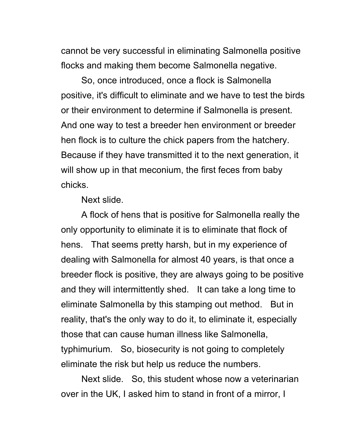cannot be very successful in eliminating Salmonella positive flocks and making them become Salmonella negative.

So, once introduced, once a flock is Salmonella positive, it's difficult to eliminate and we have to test the birds or their environment to determine if Salmonella is present. And one way to test a breeder hen environment or breeder hen flock is to culture the chick papers from the hatchery. Because if they have transmitted it to the next generation, it will show up in that meconium, the first feces from baby chicks.

Next slide.

A flock of hens that is positive for Salmonella really the only opportunity to eliminate it is to eliminate that flock of hens. That seems pretty harsh, but in my experience of dealing with Salmonella for almost 40 years, is that once a breeder flock is positive, they are always going to be positive and they will intermittently shed. It can take a long time to eliminate Salmonella by this stamping out method. But in reality, that's the only way to do it, to eliminate it, especially those that can cause human illness like Salmonella, typhimurium. So, biosecurity is not going to completely eliminate the risk but help us reduce the numbers.

Next slide. So, this student whose now a veterinarian over in the UK, I asked him to stand in front of a mirror, I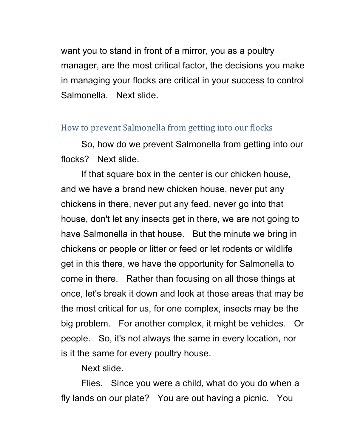want you to stand in front of a mirror, you as a poultry manager, are the most critical factor, the decisions you make in managing your flocks are critical in your success to control Salmonella. Next slide.

## How to prevent Salmonella from getting into our flocks

So, how do we prevent Salmonella from getting into our flocks? Next slide.

If that square box in the center is our chicken house, and we have a brand new chicken house, never put any chickens in there, never put any feed, never go into that house, don't let any insects get in there, we are not going to have Salmonella in that house. But the minute we bring in chickens or people or litter or feed or let rodents or wildlife get in this there, we have the opportunity for Salmonella to come in there. Rather than focusing on all those things at once, let's break it down and look at those areas that may be the most critical for us, for one complex, insects may be the big problem. For another complex, it might be vehicles. Or people. So, it's not always the same in every location, nor is it the same for every poultry house.

Next slide.

Flies. Since you were a child, what do you do when a fly lands on our plate? You are out having a picnic. You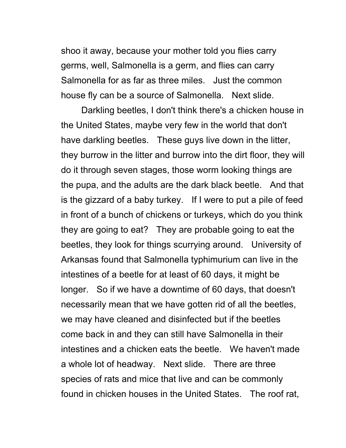shoo it away, because your mother told you flies carry germs, well, Salmonella is a germ, and flies can carry Salmonella for as far as three miles. Just the common house fly can be a source of Salmonella. Next slide.

Darkling beetles, I don't think there's a chicken house in the United States, maybe very few in the world that don't have darkling beetles. These guys live down in the litter, they burrow in the litter and burrow into the dirt floor, they will do it through seven stages, those worm looking things are the pupa, and the adults are the dark black beetle. And that is the gizzard of a baby turkey. If I were to put a pile of feed in front of a bunch of chickens or turkeys, which do you think they are going to eat? They are probable going to eat the beetles, they look for things scurrying around. University of Arkansas found that Salmonella typhimurium can live in the intestines of a beetle for at least of 60 days, it might be longer. So if we have a downtime of 60 days, that doesn't necessarily mean that we have gotten rid of all the beetles, we may have cleaned and disinfected but if the beetles come back in and they can still have Salmonella in their intestines and a chicken eats the beetle. We haven't made a whole lot of headway. Next slide. There are three species of rats and mice that live and can be commonly found in chicken houses in the United States. The roof rat,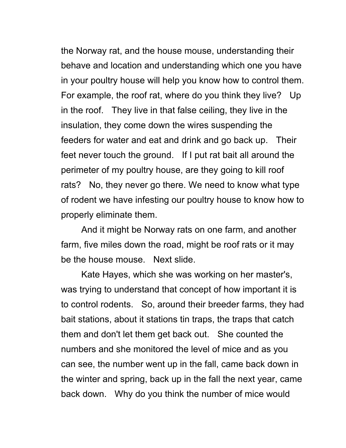the Norway rat, and the house mouse, understanding their behave and location and understanding which one you have in your poultry house will help you know how to control them. For example, the roof rat, where do you think they live? Up in the roof. They live in that false ceiling, they live in the insulation, they come down the wires suspending the feeders for water and eat and drink and go back up. Their feet never touch the ground. If I put rat bait all around the perimeter of my poultry house, are they going to kill roof rats? No, they never go there. We need to know what type of rodent we have infesting our poultry house to know how to properly eliminate them.

And it might be Norway rats on one farm, and another farm, five miles down the road, might be roof rats or it may be the house mouse. Next slide.

Kate Hayes, which she was working on her master's, was trying to understand that concept of how important it is to control rodents. So, around their breeder farms, they had bait stations, about it stations tin traps, the traps that catch them and don't let them get back out. She counted the numbers and she monitored the level of mice and as you can see, the number went up in the fall, came back down in the winter and spring, back up in the fall the next year, came back down. Why do you think the number of mice would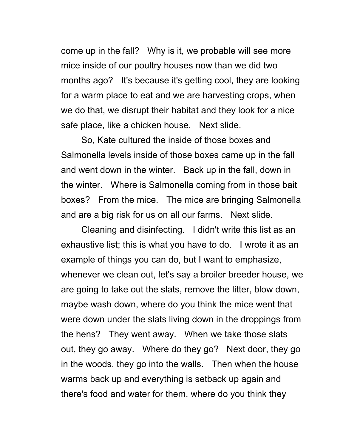come up in the fall? Why is it, we probable will see more mice inside of our poultry houses now than we did two months ago? It's because it's getting cool, they are looking for a warm place to eat and we are harvesting crops, when we do that, we disrupt their habitat and they look for a nice safe place, like a chicken house. Next slide.

So, Kate cultured the inside of those boxes and Salmonella levels inside of those boxes came up in the fall and went down in the winter. Back up in the fall, down in the winter. Where is Salmonella coming from in those bait boxes? From the mice. The mice are bringing Salmonella and are a big risk for us on all our farms. Next slide.

Cleaning and disinfecting. I didn't write this list as an exhaustive list; this is what you have to do. I wrote it as an example of things you can do, but I want to emphasize, whenever we clean out, let's say a broiler breeder house, we are going to take out the slats, remove the litter, blow down, maybe wash down, where do you think the mice went that were down under the slats living down in the droppings from the hens? They went away. When we take those slats out, they go away. Where do they go? Next door, they go in the woods, they go into the walls. Then when the house warms back up and everything is setback up again and there's food and water for them, where do you think they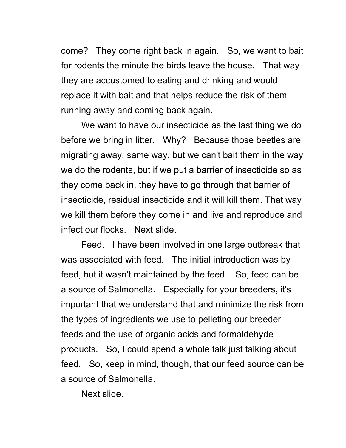come? They come right back in again. So, we want to bait for rodents the minute the birds leave the house. That way they are accustomed to eating and drinking and would replace it with bait and that helps reduce the risk of them running away and coming back again.

We want to have our insecticide as the last thing we do before we bring in litter. Why? Because those beetles are migrating away, same way, but we can't bait them in the way we do the rodents, but if we put a barrier of insecticide so as they come back in, they have to go through that barrier of insecticide, residual insecticide and it will kill them. That way we kill them before they come in and live and reproduce and infect our flocks. Next slide.

Feed. I have been involved in one large outbreak that was associated with feed. The initial introduction was by feed, but it wasn't maintained by the feed. So, feed can be a source of Salmonella. Especially for your breeders, it's important that we understand that and minimize the risk from the types of ingredients we use to pelleting our breeder feeds and the use of organic acids and formaldehyde products. So, I could spend a whole talk just talking about feed. So, keep in mind, though, that our feed source can be a source of Salmonella.

Next slide.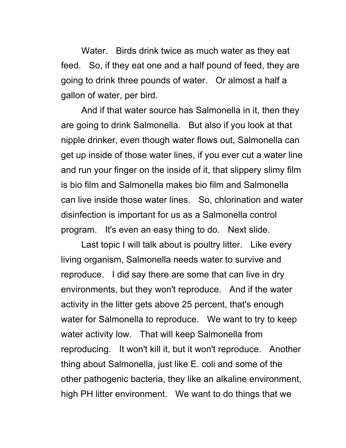Water. Birds drink twice as much water as they eat feed. So, if they eat one and a half pound of feed, they are going to drink three pounds of water. Or almost a half a gallon of water, per bird.

And if that water source has Salmonella in it, then they are going to drink Salmonella. But also if you look at that nipple drinker, even though water flows out, Salmonella can get up inside of those water lines, if you ever cut a water line and run your finger on the inside of it, that slippery slimy film is bio film and Salmonella makes bio film and Salmonella can live inside those water lines. So, chlorination and water disinfection is important for us as a Salmonella control program. It's even an easy thing to do. Next slide.

Last topic I will talk about is poultry litter. Like every living organism, Salmonella needs water to survive and reproduce. I did say there are some that can live in dry environments, but they won't reproduce. And if the water activity in the litter gets above 25 percent, that's enough water for Salmonella to reproduce. We want to try to keep water activity low. That will keep Salmonella from reproducing. It won't kill it, but it won't reproduce. Another thing about Salmonella, just like E. coli and some of the other pathogenic bacteria, they like an alkaline environment, high PH litter environment. We want to do things that we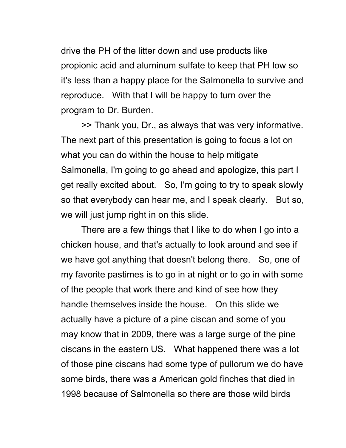drive the PH of the litter down and use products like propionic acid and aluminum sulfate to keep that PH low so it's less than a happy place for the Salmonella to survive and reproduce. With that I will be happy to turn over the program to Dr. Burden.

>> Thank you, Dr., as always that was very informative. The next part of this presentation is going to focus a lot on what you can do within the house to help mitigate Salmonella, I'm going to go ahead and apologize, this part I get really excited about. So, I'm going to try to speak slowly so that everybody can hear me, and I speak clearly. But so, we will just jump right in on this slide.

There are a few things that I like to do when I go into a chicken house, and that's actually to look around and see if we have got anything that doesn't belong there. So, one of my favorite pastimes is to go in at night or to go in with some of the people that work there and kind of see how they handle themselves inside the house. On this slide we actually have a picture of a pine ciscan and some of you may know that in 2009, there was a large surge of the pine ciscans in the eastern US. What happened there was a lot of those pine ciscans had some type of pullorum we do have some birds, there was a American gold finches that died in 1998 because of Salmonella so there are those wild birds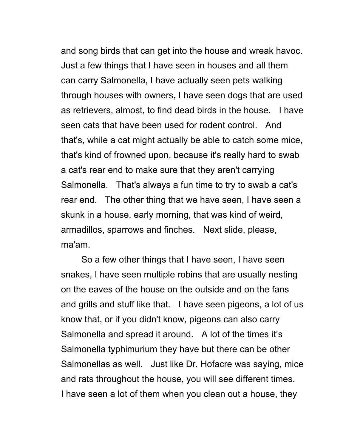and song birds that can get into the house and wreak havoc. Just a few things that I have seen in houses and all them can carry Salmonella, I have actually seen pets walking through houses with owners, I have seen dogs that are used as retrievers, almost, to find dead birds in the house. I have seen cats that have been used for rodent control. And that's, while a cat might actually be able to catch some mice, that's kind of frowned upon, because it's really hard to swab a cat's rear end to make sure that they aren't carrying Salmonella. That's always a fun time to try to swab a cat's rear end. The other thing that we have seen, I have seen a skunk in a house, early morning, that was kind of weird, armadillos, sparrows and finches. Next slide, please, ma'am.

So a few other things that I have seen, I have seen snakes, I have seen multiple robins that are usually nesting on the eaves of the house on the outside and on the fans and grills and stuff like that. I have seen pigeons, a lot of us know that, or if you didn't know, pigeons can also carry Salmonella and spread it around. A lot of the times it's Salmonella typhimurium they have but there can be other Salmonellas as well. Just like Dr. Hofacre was saying, mice and rats throughout the house, you will see different times. I have seen a lot of them when you clean out a house, they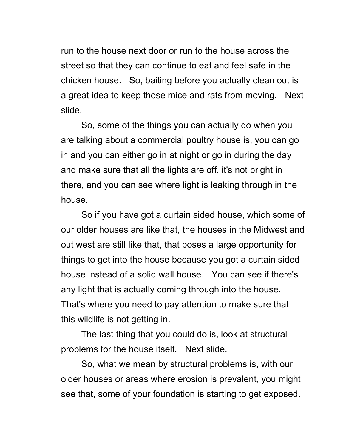run to the house next door or run to the house across the street so that they can continue to eat and feel safe in the chicken house. So, baiting before you actually clean out is a great idea to keep those mice and rats from moving. Next slide.

So, some of the things you can actually do when you are talking about a commercial poultry house is, you can go in and you can either go in at night or go in during the day and make sure that all the lights are off, it's not bright in there, and you can see where light is leaking through in the house.

So if you have got a curtain sided house, which some of our older houses are like that, the houses in the Midwest and out west are still like that, that poses a large opportunity for things to get into the house because you got a curtain sided house instead of a solid wall house. You can see if there's any light that is actually coming through into the house. That's where you need to pay attention to make sure that this wildlife is not getting in.

The last thing that you could do is, look at structural problems for the house itself. Next slide.

So, what we mean by structural problems is, with our older houses or areas where erosion is prevalent, you might see that, some of your foundation is starting to get exposed.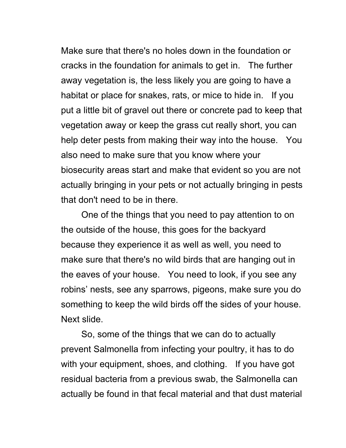Make sure that there's no holes down in the foundation or cracks in the foundation for animals to get in. The further away vegetation is, the less likely you are going to have a habitat or place for snakes, rats, or mice to hide in. If you put a little bit of gravel out there or concrete pad to keep that vegetation away or keep the grass cut really short, you can help deter pests from making their way into the house. You also need to make sure that you know where your biosecurity areas start and make that evident so you are not actually bringing in your pets or not actually bringing in pests that don't need to be in there.

One of the things that you need to pay attention to on the outside of the house, this goes for the backyard because they experience it as well as well, you need to make sure that there's no wild birds that are hanging out in the eaves of your house. You need to look, if you see any robins' nests, see any sparrows, pigeons, make sure you do something to keep the wild birds off the sides of your house. Next slide.

So, some of the things that we can do to actually prevent Salmonella from infecting your poultry, it has to do with your equipment, shoes, and clothing. If you have got residual bacteria from a previous swab, the Salmonella can actually be found in that fecal material and that dust material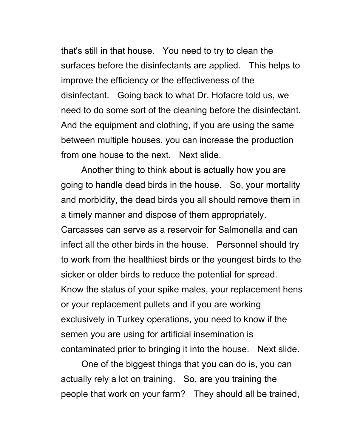that's still in that house. You need to try to clean the surfaces before the disinfectants are applied. This helps to improve the efficiency or the effectiveness of the disinfectant. Going back to what Dr. Hofacre told us, we need to do some sort of the cleaning before the disinfectant. And the equipment and clothing, if you are using the same between multiple houses, you can increase the production from one house to the next. Next slide.

Another thing to think about is actually how you are going to handle dead birds in the house. So, your mortality and morbidity, the dead birds you all should remove them in a timely manner and dispose of them appropriately. Carcasses can serve as a reservoir for Salmonella and can infect all the other birds in the house. Personnel should try to work from the healthiest birds or the youngest birds to the sicker or older birds to reduce the potential for spread. Know the status of your spike males, your replacement hens or your replacement pullets and if you are working exclusively in Turkey operations, you need to know if the semen you are using for artificial insemination is contaminated prior to bringing it into the house. Next slide.

One of the biggest things that you can do is, you can actually rely a lot on training. So, are you training the people that work on your farm? They should all be trained,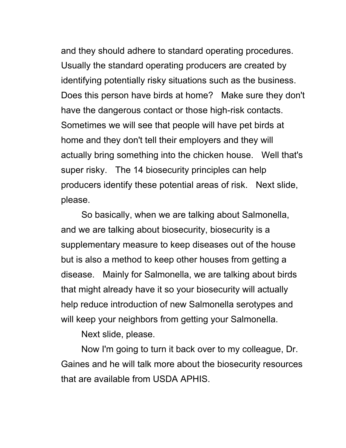and they should adhere to standard operating procedures. Usually the standard operating producers are created by identifying potentially risky situations such as the business. Does this person have birds at home? Make sure they don't have the dangerous contact or those high-risk contacts. Sometimes we will see that people will have pet birds at home and they don't tell their employers and they will actually bring something into the chicken house. Well that's super risky. The 14 biosecurity principles can help producers identify these potential areas of risk. Next slide, please.

So basically, when we are talking about Salmonella, and we are talking about biosecurity, biosecurity is a supplementary measure to keep diseases out of the house but is also a method to keep other houses from getting a disease. Mainly for Salmonella, we are talking about birds that might already have it so your biosecurity will actually help reduce introduction of new Salmonella serotypes and will keep your neighbors from getting your Salmonella.

Next slide, please.

Now I'm going to turn it back over to my colleague, Dr. Gaines and he will talk more about the biosecurity resources that are available from USDA APHIS.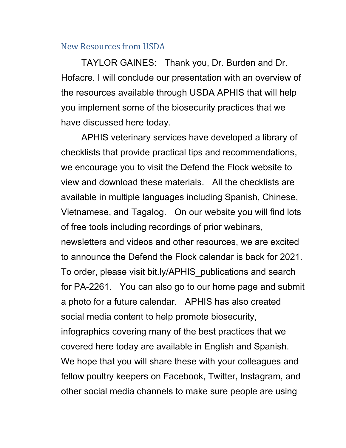#### New Resources from USDA

TAYLOR GAINES: Thank you, Dr. Burden and Dr. Hofacre. I will conclude our presentation with an overview of the resources available through USDA APHIS that will help you implement some of the biosecurity practices that we have discussed here today.

APHIS veterinary services have developed a library of checklists that provide practical tips and recommendations, we encourage you to visit the Defend the Flock website to view and download these materials. All the checklists are available in multiple languages including Spanish, Chinese, Vietnamese, and Tagalog. On our website you will find lots of free tools including recordings of prior webinars, newsletters and videos and other resources, we are excited to announce the Defend the Flock calendar is back for 2021. To order, please visit bit.ly/APHIS\_publications and search for PA-2261. You can also go to our home page and submit a photo for a future calendar. APHIS has also created social media content to help promote biosecurity, infographics covering many of the best practices that we covered here today are available in English and Spanish. We hope that you will share these with your colleagues and fellow poultry keepers on Facebook, Twitter, Instagram, and other social media channels to make sure people are using